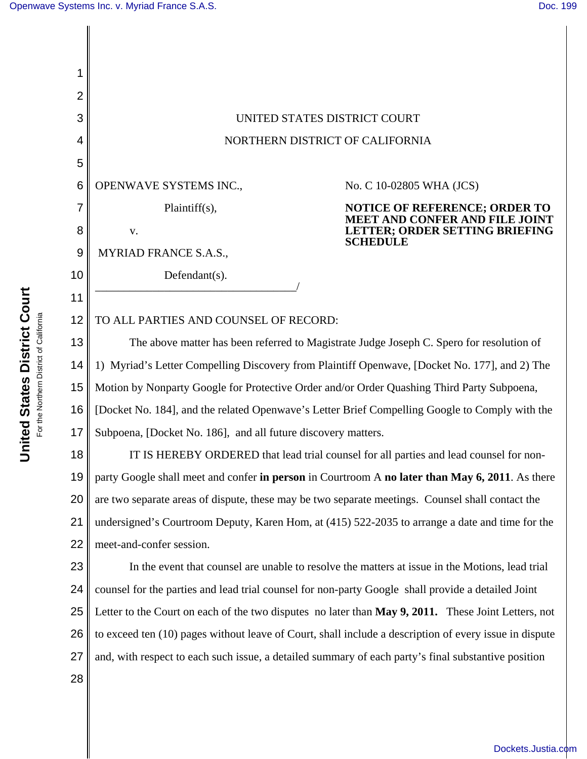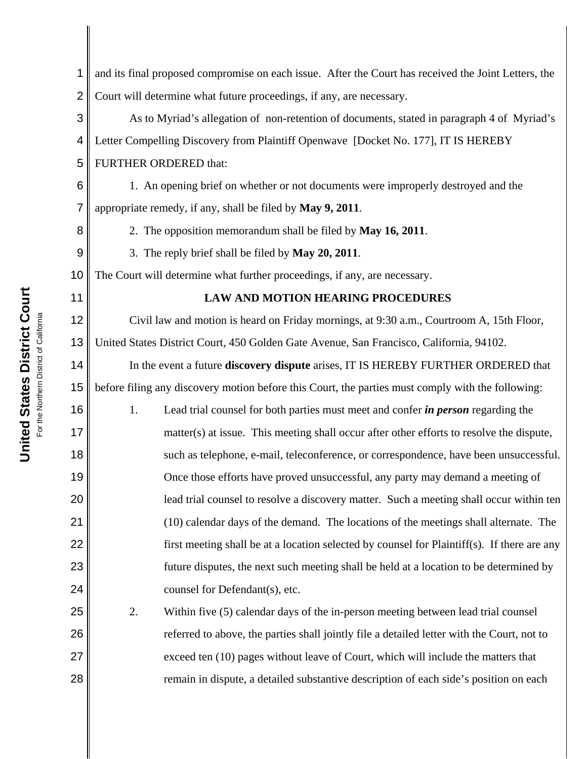| 1              | and its final proposed compromise on each issue. After the Court has received the Joint Letters, the |
|----------------|------------------------------------------------------------------------------------------------------|
| $\overline{2}$ | Court will determine what future proceedings, if any, are necessary.                                 |
| 3              | As to Myriad's allegation of non-retention of documents, stated in paragraph 4 of Myriad's           |
| 4              | Letter Compelling Discovery from Plaintiff Openwave [Docket No. 177], IT IS HEREBY                   |
| 5              | FURTHER ORDERED that:                                                                                |
| 6              | 1. An opening brief on whether or not documents were improperly destroyed and the                    |
| 7              | appropriate remedy, if any, shall be filed by May 9, 2011.                                           |
| 8              | 2. The opposition memorandum shall be filed by May 16, 2011.                                         |
| 9              | 3. The reply brief shall be filed by May 20, 2011.                                                   |
| 10             | The Court will determine what further proceedings, if any, are necessary.                            |
| 11             | <b>LAW AND MOTION HEARING PROCEDURES</b>                                                             |
| 12             | Civil law and motion is heard on Friday mornings, at 9:30 a.m., Courtroom A, 15th Floor,             |
| 13             | United States District Court, 450 Golden Gate Avenue, San Francisco, California, 94102.              |
| 14             | In the event a future discovery dispute arises, IT IS HEREBY FURTHER ORDERED that                    |
| 15             | before filing any discovery motion before this Court, the parties must comply with the following:    |
| 16             | 1.<br>Lead trial counsel for both parties must meet and confer <i>in person</i> regarding the        |
| 17             | matter(s) at issue. This meeting shall occur after other efforts to resolve the dispute,             |
| 18             | such as telephone, e-mail, teleconference, or correspondence, have been unsuccessful.                |
| 19             | Once those efforts have proved unsuccessful, any party may demand a meeting of                       |
| 20             | lead trial counsel to resolve a discovery matter. Such a meeting shall occur within ten              |
| 21             | (10) calendar days of the demand. The locations of the meetings shall alternate. The                 |
| 22             | first meeting shall be at a location selected by counsel for Plaintiff(s). If there are any          |
| 23             | future disputes, the next such meeting shall be held at a location to be determined by               |
| 24             | counsel for Defendant(s), etc.                                                                       |
| 25             | 2.<br>Within five (5) calendar days of the in-person meeting between lead trial counsel              |
| 26             | referred to above, the parties shall jointly file a detailed letter with the Court, not to           |
| 27             | exceed ten (10) pages without leave of Court, which will include the matters that                    |
| 28             | remain in dispute, a detailed substantive description of each side's position on each                |
|                |                                                                                                      |